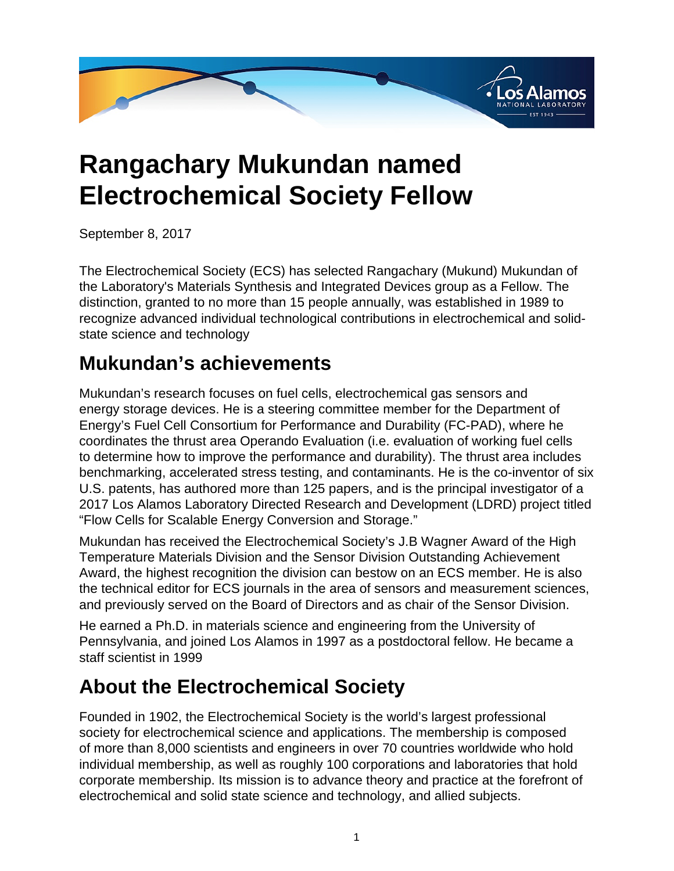

## **Rangachary Mukundan named Electrochemical Society Fellow**

September 8, 2017

The Electrochemical Society (ECS) has selected Rangachary (Mukund) Mukundan of the Laboratory's Materials Synthesis and Integrated Devices group as a Fellow. The distinction, granted to no more than 15 people annually, was established in 1989 to recognize advanced individual technological contributions in electrochemical and solidstate science and technology

## **Mukundan's achievements**

Mukundan's research focuses on fuel cells, electrochemical gas sensors and energy storage devices. He is a steering committee member for the Department of Energy's Fuel Cell Consortium for Performance and Durability (FC-PAD), where he coordinates the thrust area Operando Evaluation (i.e. evaluation of working fuel cells to determine how to improve the performance and durability). The thrust area includes benchmarking, accelerated stress testing, and contaminants. He is the co-inventor of six U.S. patents, has authored more than 125 papers, and is the principal investigator of a 2017 Los Alamos Laboratory Directed Research and Development (LDRD) project titled "Flow Cells for Scalable Energy Conversion and Storage."

Mukundan has received the Electrochemical Society's J.B Wagner Award of the High Temperature Materials Division and the Sensor Division Outstanding Achievement Award, the highest recognition the division can bestow on an ECS member. He is also the technical editor for ECS journals in the area of sensors and measurement sciences, and previously served on the Board of Directors and as chair of the Sensor Division.

He earned a Ph.D. in materials science and engineering from the University of Pennsylvania, and joined Los Alamos in 1997 as a postdoctoral fellow. He became a staff scientist in 1999

## **About the Electrochemical Society**

Founded in 1902, the Electrochemical Society is the world's largest professional society for electrochemical science and applications. The membership is composed of more than 8,000 scientists and engineers in over 70 countries worldwide who hold individual membership, as well as roughly 100 corporations and laboratories that hold corporate membership. Its mission is to advance theory and practice at the forefront of electrochemical and solid state science and technology, and allied subjects.